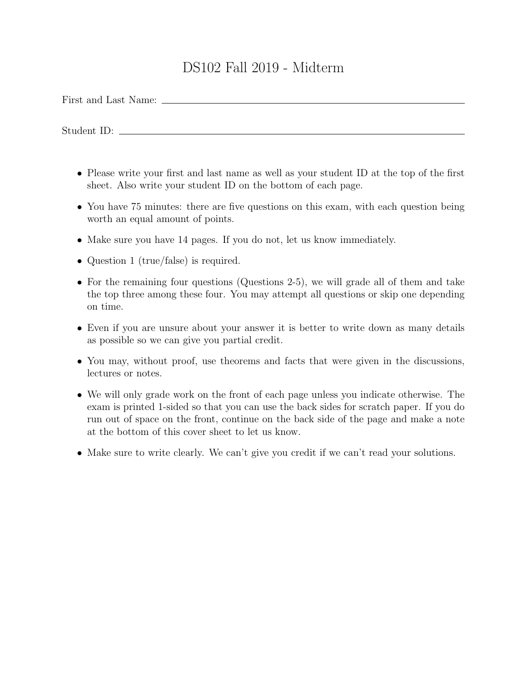## DS102 Fall 2019 - Midterm

First and Last Name:

Student ID:

- Please write your first and last name as well as your student ID at the top of the first sheet. Also write your student ID on the bottom of each page.
- You have 75 minutes: there are five questions on this exam, with each question being worth an equal amount of points.
- Make sure you have 14 pages. If you do not, let us know immediately.
- Question 1 (true/false) is required.
- For the remaining four questions (Questions 2-5), we will grade all of them and take the top three among these four. You may attempt all questions or skip one depending on time.
- Even if you are unsure about your answer it is better to write down as many details as possible so we can give you partial credit.
- You may, without proof, use theorems and facts that were given in the discussions, lectures or notes.
- We will only grade work on the front of each page unless you indicate otherwise. The exam is printed 1-sided so that you can use the back sides for scratch paper. If you do run out of space on the front, continue on the back side of the page and make a note at the bottom of this cover sheet to let us know.
- Make sure to write clearly. We can't give you credit if we can't read your solutions.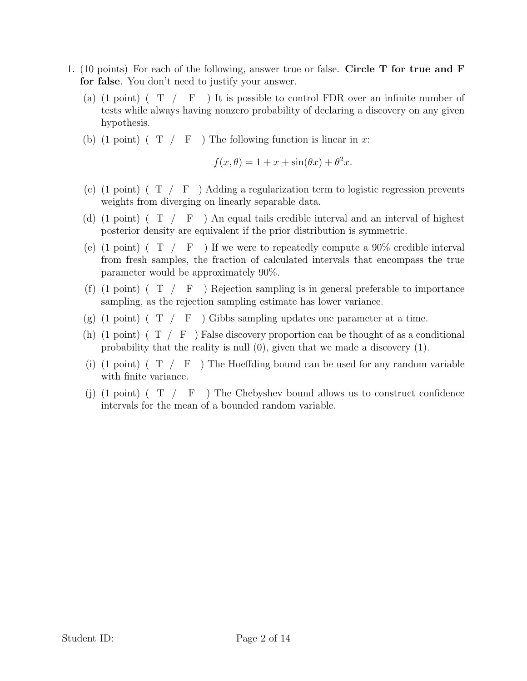- 1. (10 points) For each of the following, answer true or false. Circle T for true and F for false. You don't need to justify your answer.
	- (a)  $(1 \text{ point})$   $(T / F)$  It is possible to control FDR over an infinite number of tests while always having nonzero probability of declaring a discovery on any given hypothesis.
	- (b) (1 point) ( $T / F$ ) The following function is linear in x:

$$
f(x, \theta) = 1 + x + \sin(\theta x) + \theta^2 x.
$$

- (c) (1 point) ( $T / F$ ) Adding a regularization term to logistic regression prevents weights from diverging on linearly separable data.
- (d) (1 point) ( $T / F$ ) An equal tails credible interval and an interval of highest posterior density are equivalent if the prior distribution is symmetric.
- (e) (1 point) ( $T / F$ ) If we were to repeatedly compute a 90% credible interval from fresh samples, the fraction of calculated intervals that encompass the true parameter would be approximately 90%.
- (f)  $(1 \text{ point})$   $(T / F)$  Rejection sampling is in general preferable to importance sampling, as the rejection sampling estimate has lower variance.
- (g) (1 point) ( $T / F$ ) Gibbs sampling updates one parameter at a time.
- (h) (1 point) ( $T / F$ ) False discovery proportion can be thought of as a conditional probability that the reality is null (0), given that we made a discovery (1).
- (i)  $(1 \text{ point})$   $(T / F)$  The Hoeffding bound can be used for any random variable with finite variance.
- (j) (1 point) ( $T / F$ ) The Chebyshev bound allows us to construct confidence intervals for the mean of a bounded random variable.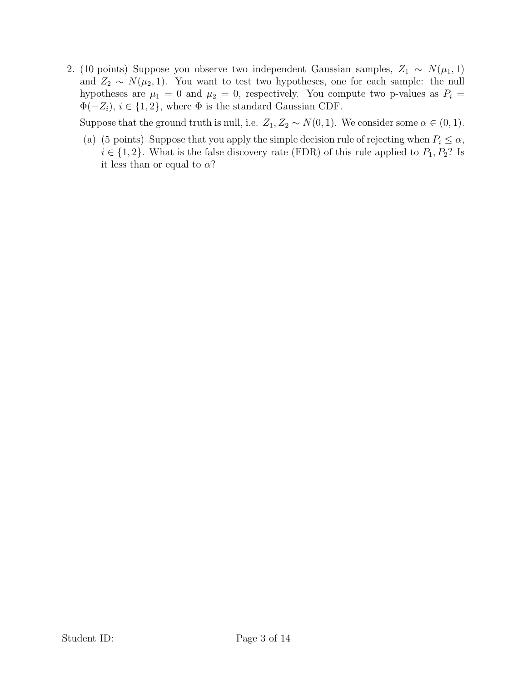2. (10 points) Suppose you observe two independent Gaussian samples,  $Z_1 \sim N(\mu_1, 1)$ and  $Z_2 \sim N(\mu_2, 1)$ . You want to test two hypotheses, one for each sample: the null hypotheses are  $\mu_1 = 0$  and  $\mu_2 = 0$ , respectively. You compute two p-values as  $P_i =$  $\Phi(-Z_i)$ ,  $i \in \{1, 2\}$ , where  $\Phi$  is the standard Gaussian CDF.

Suppose that the ground truth is null, i.e.  $Z_1, Z_2 \sim N(0, 1)$ . We consider some  $\alpha \in (0, 1)$ .

(a) (5 points) Suppose that you apply the simple decision rule of rejecting when  $P_i \leq \alpha$ ,  $i \in \{1, 2\}$ . What is the false discovery rate (FDR) of this rule applied to  $P_1, P_2$ ? Is it less than or equal to  $\alpha$ ?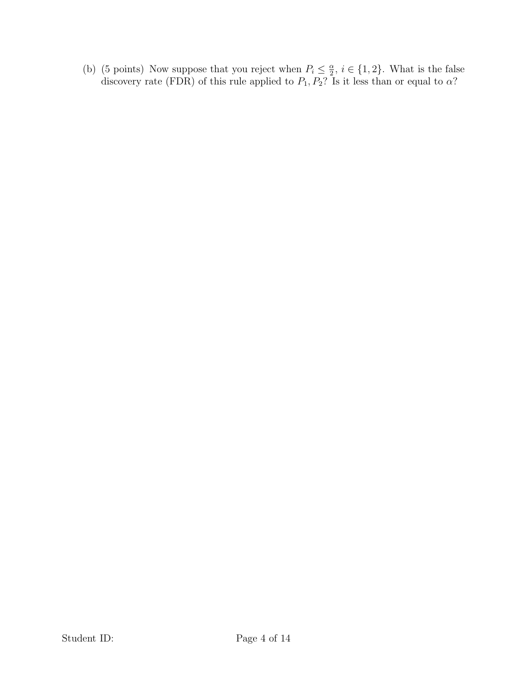(b) (5 points) Now suppose that you reject when  $P_i \leq \frac{\alpha}{2}$  $\frac{\alpha}{2}$ ,  $i \in \{1, 2\}$ . What is the false discovery rate (FDR) of this rule applied to  $P_1, P_2$ ? Is it less than or equal to  $\alpha$ ?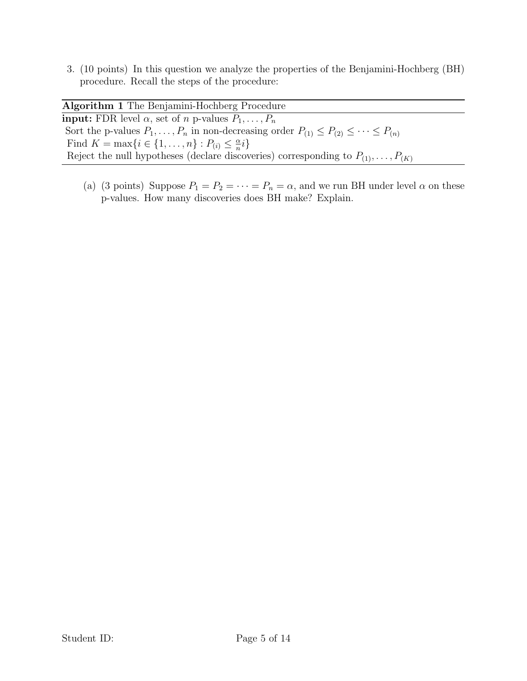3. (10 points) In this question we analyze the properties of the Benjamini-Hochberg (BH) procedure. Recall the steps of the procedure:

| Algorithm 1 The Benjamini-Hochberg Procedure                                                                 |
|--------------------------------------------------------------------------------------------------------------|
| <b>input:</b> FDR level $\alpha$ , set of <i>n</i> p-values $P_1, \ldots, P_n$                               |
| Sort the p-values $P_1, \ldots, P_n$ in non-decreasing order $P_{(1)} \leq P_{(2)} \leq \cdots \leq P_{(n)}$ |
| Find $K = \max\{i \in \{1, , n\} : P_{(i)} \leq \frac{\alpha}{n}i\}$                                         |
| Reject the null hypotheses (declare discoveries) corresponding to $P_{(1)}, \ldots, P_{(K)}$                 |

(a) (3 points) Suppose  $P_1 = P_2 = \cdots = P_n = \alpha$ , and we run BH under level  $\alpha$  on these p-values. How many discoveries does BH make? Explain.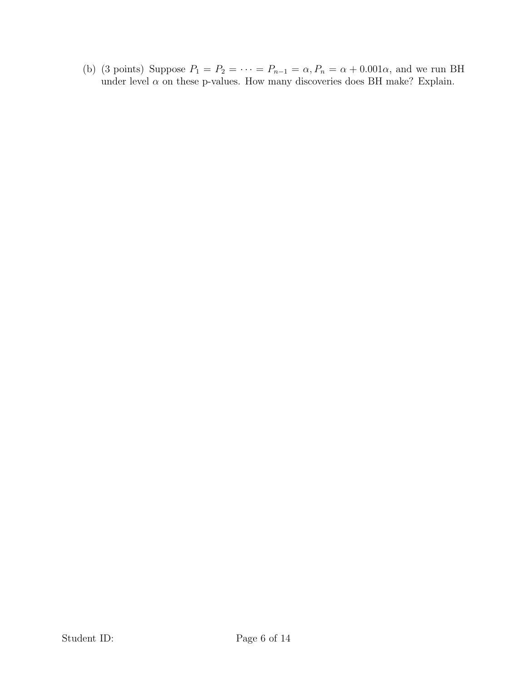(b) (3 points) Suppose  $P_1 = P_2 = \cdots = P_{n-1} = \alpha$ ,  $P_n = \alpha + 0.001\alpha$ , and we run BH under level  $\alpha$  on these p-values. How many discoveries does BH make? Explain.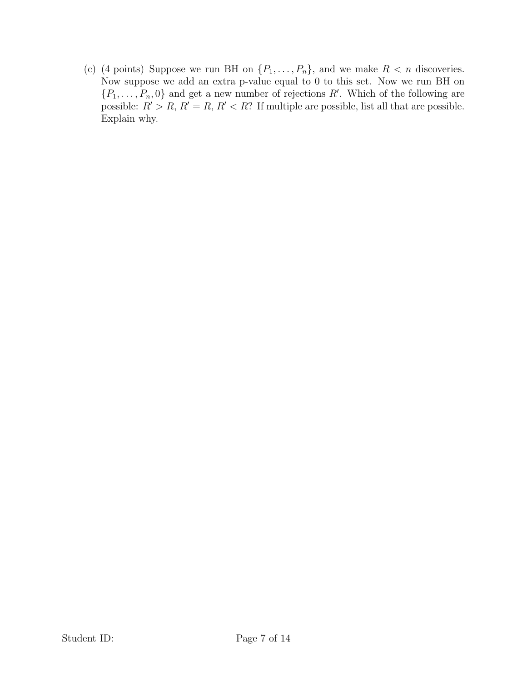(c) (4 points) Suppose we run BH on  $\{P_1, \ldots, P_n\}$ , and we make  $R < n$  discoveries. Now suppose we add an extra p-value equal to 0 to this set. Now we run BH on  $\{P_1, \ldots, P_n, 0\}$  and get a new number of rejections R'. Which of the following are possible:  $R' > R$ ,  $R' = R$ ,  $R' < R$ ? If multiple are possible, list all that are possible. Explain why.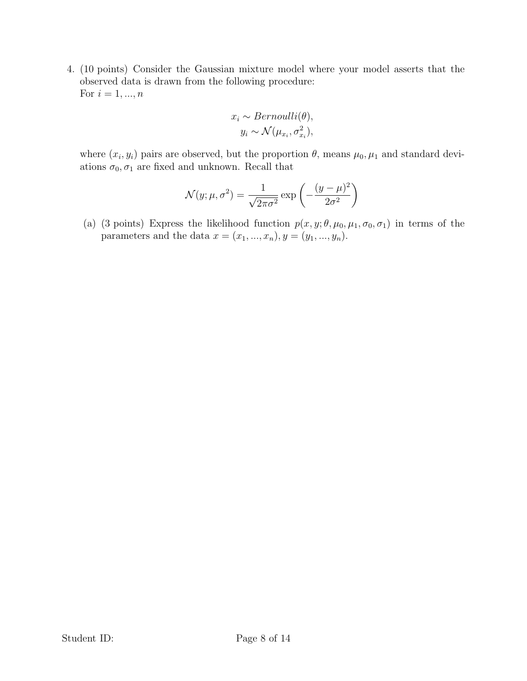4. (10 points) Consider the Gaussian mixture model where your model asserts that the observed data is drawn from the following procedure: For  $i = 1, ..., n$ 

$$
x_i \sim Bernoulli(\theta),
$$
  

$$
y_i \sim \mathcal{N}(\mu_{x_i}, \sigma_{x_i}^2),
$$

where  $(x_i, y_i)$  pairs are observed, but the proportion  $\theta$ , means  $\mu_0, \mu_1$  and standard deviations  $\sigma_0, \sigma_1$  are fixed and unknown. Recall that

$$
\mathcal{N}(y; \mu, \sigma^2) = \frac{1}{\sqrt{2\pi\sigma^2}} \exp\left(-\frac{(y-\mu)^2}{2\sigma^2}\right)
$$

(a) (3 points) Express the likelihood function  $p(x, y; \theta, \mu_0, \mu_1, \sigma_0, \sigma_1)$  in terms of the parameters and the data  $x = (x_1, ..., x_n), y = (y_1, ..., y_n).$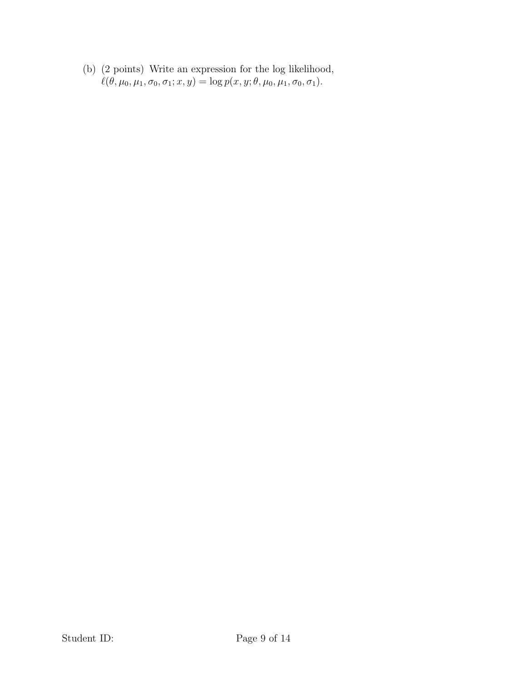(b) (2 points) Write an expression for the log likelihood,  $\ell(\theta, \mu_0, \mu_1, \sigma_0, \sigma_1; x, y) = \log p(x, y; \theta, \mu_0, \mu_1, \sigma_0, \sigma_1).$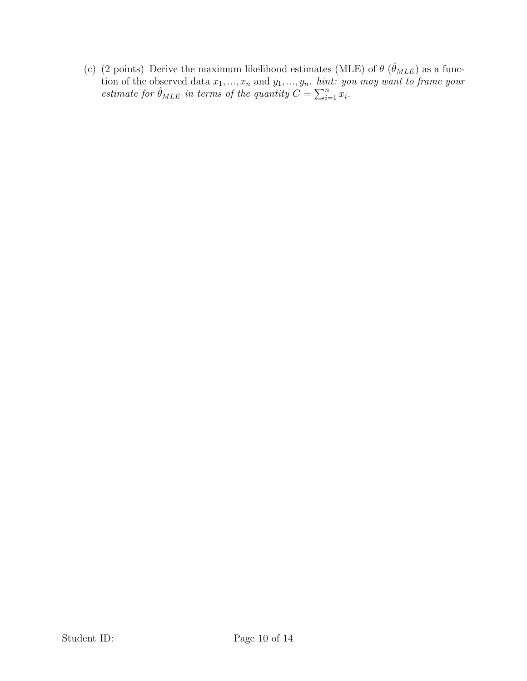(c) (2 points) Derive the maximum likelihood estimates (MLE) of  $\theta$  ( $\hat{\theta}_{MLE}$ ) as a function of the observed data  $x_1, ..., x_n$  and  $y_1, ..., y_n$ . *hint: you may want to frame your* estimate for  $\hat{\theta}_{MLE}$  in terms of the quantity  $C = \sum_{i=1}^{n} x_i$ .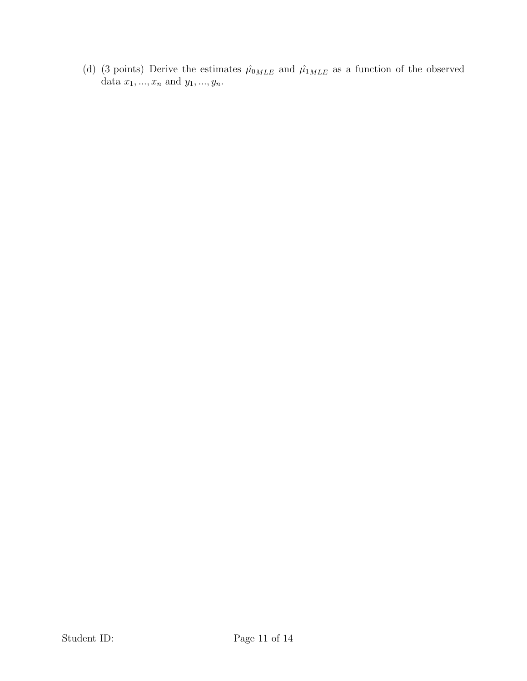(d) (3 points) Derive the estimates  $\hat{\mu}_{0MLE}$  and  $\hat{\mu}_{1MLE}$  as a function of the observed data  $x_1, ..., x_n$  and  $y_1, ..., y_n$ .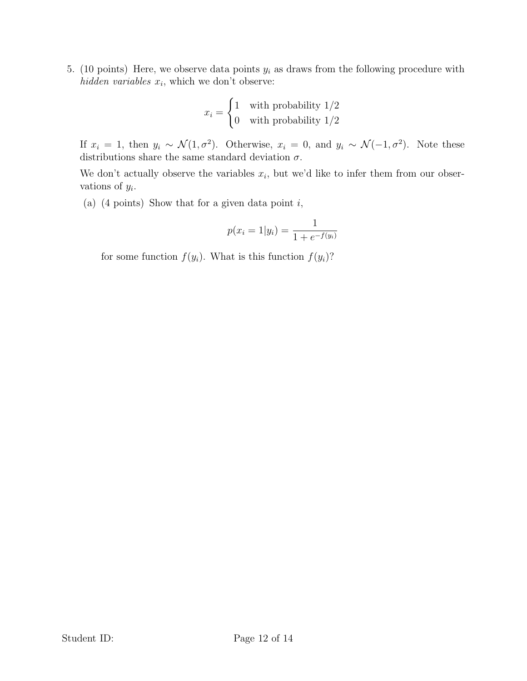5. (10 points) Here, we observe data points  $y_i$  as draws from the following procedure with hidden variables  $x_i$ , which we don't observe:

$$
x_i = \begin{cases} 1 & \text{with probability } 1/2\\ 0 & \text{with probability } 1/2 \end{cases}
$$

If  $x_i = 1$ , then  $y_i \sim \mathcal{N}(1, \sigma^2)$ . Otherwise,  $x_i = 0$ , and  $y_i \sim \mathcal{N}(-1, \sigma^2)$ . Note these distributions share the same standard deviation  $\sigma$ .

We don't actually observe the variables  $x_i$ , but we'd like to infer them from our observations of  $y_i$ .

(a) (4 points) Show that for a given data point  $i$ ,

$$
p(x_i = 1|y_i) = \frac{1}{1 + e^{-f(y_i)}}
$$

for some function  $f(y_i)$ . What is this function  $f(y_i)$ ?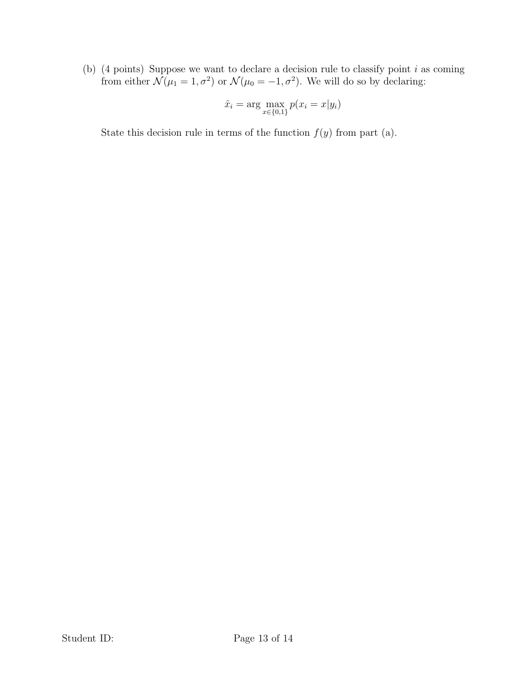(b) (4 points) Suppose we want to declare a decision rule to classify point  $i$  as coming from either  $\mathcal{N}(\mu_1 = 1, \sigma^2)$  or  $\mathcal{N}(\mu_0 = -1, \sigma^2)$ . We will do so by declaring:

$$
\hat{x}_i = \arg\max_{x \in \{0,1\}} p(x_i = x | y_i)
$$

State this decision rule in terms of the function  $f(y)$  from part (a).